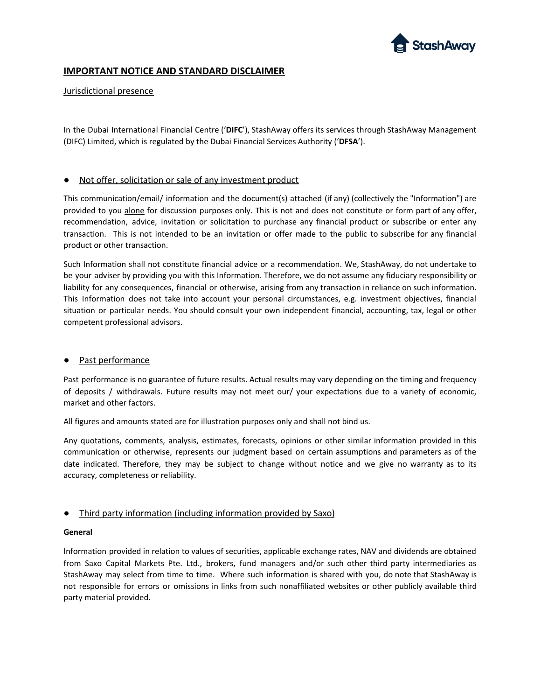

# **IMPORTANT NOTICE AND STANDARD DISCLAIMER**

# Jurisdictional presence

In the Dubai International Financial Centre ('**DIFC**'), StashAway offers its services through StashAway Management (DIFC) Limited, which is regulated by the Dubai Financial Services Authority ('**DFSA**').

# Not offer, solicitation or sale of any investment product

This communication/email/ information and the document(s) attached (if any) (collectively the "Information") are provided to you alone for discussion purposes only. This is not and does not constitute or form part of any offer, recommendation, advice, invitation or solicitation to purchase any financial product or subscribe or enter any transaction. This is not intended to be an invitation or offer made to the public to subscribe for any financial product or other transaction.

Such Information shall not constitute financial advice or a recommendation. We, StashAway, do not undertake to be your adviser by providing you with this Information. Therefore, we do not assume any fiduciary responsibility or liability for any consequences, financial or otherwise, arising from any transaction in reliance on such information. This Information does not take into account your personal circumstances, e.g. investment objectives, financial situation or particular needs. You should consult your own independent financial, accounting, tax, legal or other competent professional advisors.

### ● Past performance

Past performance is no guarantee of future results. Actual results may vary depending on the timing and frequency of deposits / withdrawals. Future results may not meet our/ your expectations due to a variety of economic, market and other factors.

All figures and amounts stated are for illustration purposes only and shall not bind us.

Any quotations, comments, analysis, estimates, forecasts, opinions or other similar information provided in this communication or otherwise, represents our judgment based on certain assumptions and parameters as of the date indicated. Therefore, they may be subject to change without notice and we give no warranty as to its accuracy, completeness or reliability.

# ● Third party information (including information provided by Saxo)

### **General**

Information provided in relation to values of securities, applicable exchange rates, NAV and dividends are obtained from Saxo Capital Markets Pte. Ltd., brokers, fund managers and/or such other third party intermediaries as StashAway may select from time to time. Where such information is shared with you, do note that StashAway is not responsible for errors or omissions in links from such nonaffiliated websites or other publicly available third party material provided.